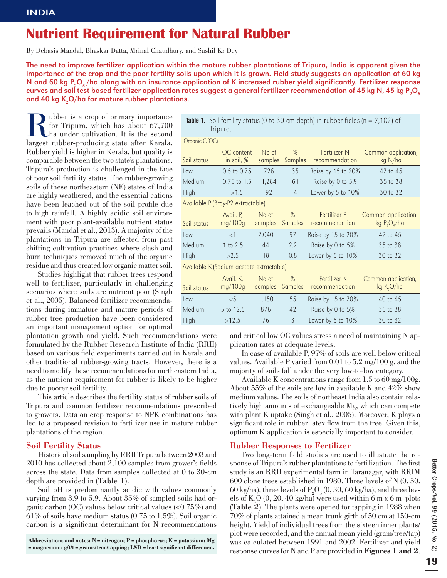# Nutrient Requirement for Natural Rubber

By Debasis Mandal, Bhaskar Datta, Mrinal Chaudhury, and Sushil Kr Dey

The need to improve fertilizer application within the mature rubber plantations of Tripura, India is apparent given the importance of the crop and the poor fertility soils upon which it is grown. Field study suggests an application of 60 kg N and 60 kg P $_{\rm 2}$ O $_{\rm 5}$ /ha along with an insurance application of K increased rubber yield significantly. Fertilizer response curves and soil test-based fertilizer application rates suggest a general fertilizer recommendation of 45 kg N, 45 kg P $_{\rm 2}$ O $_{\rm 5}$ and 40 kg K $_{\rm 2}$ O/ha for mature rubber plantations.

Rubber is a crop of primary importance<br>for Tripura, which has about 67,700<br>ha under cultivation. It is the second<br>largest rubber-producing state after Kerala. for Tripura, which has about 67,700 ha under cultivation. It is the second largest rubber-producing state after Kerala. Rubber yield is higher in Kerala, but quality is comparable between the two state's plantations. Tripura's production is challenged in the face of poor soil fertility status. The rubber-growing soils of these northeastern (NE) states of India are highly weathered, and the essential cations have been leached out of the soil profile due to high rainfall. A highly acidic soil environment with poor plant-available nutrient status prevails (Mandal et al., 2013). A majority of the plantations in Tripura are affected from past shifting cultivation practices where slash and burn techniques removed much of the organic residue and thus created low organic matter soil.

Studies highlight that rubber trees respond well to fertilizer, particularly in challenging scenarios where soils are nutrient poor (Singh et al., 2005). Balanced fertilizer recommendations during immature and mature periods of rubber tree production have been considered an important management option for optimal

plantation growth and yield. Such recommendations were formulated by the Rubber Research Institute of India (RRII) based on various field experiments carried out in Kerala and other traditional rubber-growing tracts. However, there is a need to modify these recommendations for northeastern India, as the nutrient requirement for rubber is likely to be higher due to poorer soil fertility.

This article describes the fertility status of rubber soils of Tripura and common fertilizer recommendations prescribed to growers. Data on crop response to NPK combinations has led to a proposed revision to fertilizer use in mature rubber plantations of the region.

## **Soil Fertility Status**

Historical soil sampling by RRII Tripura between 2003 and  $2010$  has collected about  $2,100$  samples from grower's fields across the state. Data from samples collected at 0 to 30-cm depth are provided in (**Table 1**).

Soil pH is predominantly acidic with values commonly varying from 3.9 to 5.9. About 35% of sampled soils had organic carbon  $(OC)$  values below critical values  $( $0.75\%$ )$  and 61% of soils have medium status (0.75 to 1.5%). Soil organic carbon is a significant determinant for N recommendations

**Abbreviations and notes: N = nitrogen; P = phosphorus; K = potassium; Mg**   $=$  magnesium;  $g/tt =$  grams/tree/tapping;  $LSD =$  least significant difference.

| <b>Table 1.</b> Soil fertility status (0 to 30 cm depth) in rubber fields ( $n = 2,102$ ) of<br>Tripura. |                                |                             |                 |                                        |                                               |  |
|----------------------------------------------------------------------------------------------------------|--------------------------------|-----------------------------|-----------------|----------------------------------------|-----------------------------------------------|--|
| Organic C(OC)                                                                                            |                                |                             |                 |                                        |                                               |  |
| Soil status                                                                                              | OC content<br>in soil, $%$     | No <sub>of</sub><br>samples | %               | Fertilizer N<br>Samples recommendation | Common application,<br>kg N/ha                |  |
| Low                                                                                                      | $0.5$ to $0.75$                | 726                         | 35              | Raise by 15 to 20%                     | $42$ to $45$                                  |  |
| Medium                                                                                                   | $0.75$ to 1.5                  | 1,284                       | 61              | Raise by 0 to 5%                       | 35 to 38                                      |  |
| <b>High</b>                                                                                              | >1.5                           | 92                          | $\overline{4}$  | Lower by 5 to 10%                      | 30 to 32                                      |  |
| Available P (Bray-P2 extractable)                                                                        |                                |                             |                 |                                        |                                               |  |
| Soil status                                                                                              | Avail, P.<br>$mg/100g$ samples | No of                       | $\%$<br>Samples | Fertilizer P<br>recommendation         | Common application,<br>kg $P_2O_5/ha$         |  |
| Low                                                                                                      | ${<}1$                         | 2,040                       | 97              | Raise by 15 to 20%                     | 42 to 45                                      |  |
| Medium                                                                                                   | 1 to 2.5                       | 44                          | 2.2             | Raise by 0 to 5%                       | 35 to 38                                      |  |
| High                                                                                                     | >2.5                           | 18                          | 0.8             | Lower by 5 to 10%                      | 30 to 32                                      |  |
| Available K (Sodium acetate extractable)                                                                 |                                |                             |                 |                                        |                                               |  |
| Soil status                                                                                              | Avail. K,<br>mg/100g           | No of<br>samples            | %<br>Samples    | Fertilizer K<br>recommendation         | Common application,<br>kg K <sub>2</sub> O/ha |  |
| Low                                                                                                      | $<$ 5                          | 1,150                       | 55              | Raise by 15 to 20%                     | 40 to 45                                      |  |
| Medium                                                                                                   | 5 to 12.5                      | 876                         | 42              | Raise by 0 to 5%                       | 35 to 38                                      |  |
| High                                                                                                     | >12.5                          | 76                          | $\mathfrak{Z}$  | Lower by 5 to 10%                      | 30 to 32                                      |  |

and critical low OC values stress a need of maintaining N application rates at adequate levels.

In case of available P, 97% of soils are well below critical values. Available P varied from 0.01 to 5.2 mg/100 g, and the majority of soils fall under the very low-to-low category.

Available K concentrations range from 1.5 to 60 mg/100g. About 55% of the soils are low in available K and 42% show medium values. The soils of northeast India also contain relatively high amounts of exchangeable Mg, which can compete with plant K uptake (Singh et al., 2005). Moreover, K plays a significant role in rubber latex flow from the tree. Given this, optimum K application is especially important to consider.

## **Rubber Responses to Fertilizer**

Two long-term field studies are used to illustrate the response of Tripura's rubber plantations to fertilization. The first study is an RRII experimental farm in Taranagar, with RRIM 600 clone trees established in 1980. Three levels of N (0, 30, 60 kg/ha), three levels of  $P_2O_5(0, 30, 60$  kg/ha), and three levels of  $K_2O(0, 20, 40 \text{ kg/ha})$  were used within 6 m x 6 m plots (**Table 2**). The plants were opened for tapping in 1988 when 70% of plants attained a mean trunk girth of 50 cm at 150-cm height. Yield of individual trees from the sixteen inner plants/ plot were recorded, and the annual mean yield (gram/tree/tap) was calculated between 1991 and 2002. Fertilizer and yield response curves for N and P are provided in **Figures 1 and 2**.